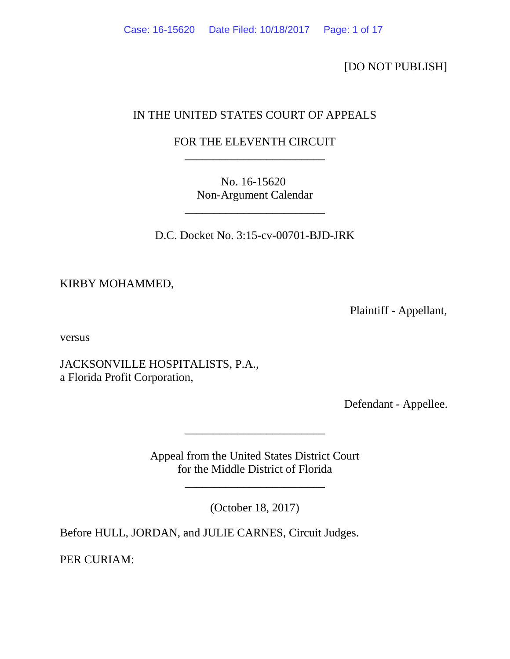[DO NOT PUBLISH]

# IN THE UNITED STATES COURT OF APPEALS

# FOR THE ELEVENTH CIRCUIT \_\_\_\_\_\_\_\_\_\_\_\_\_\_\_\_\_\_\_\_\_\_\_\_

No. 16-15620 Non-Argument Calendar

D.C. Docket No. 3:15-cv-00701-BJD-JRK

\_\_\_\_\_\_\_\_\_\_\_\_\_\_\_\_\_\_\_\_\_\_\_\_

KIRBY MOHAMMED,

Plaintiff - Appellant,

versus

JACKSONVILLE HOSPITALISTS, P.A., a Florida Profit Corporation,

Defendant - Appellee.

Appeal from the United States District Court for the Middle District of Florida

\_\_\_\_\_\_\_\_\_\_\_\_\_\_\_\_\_\_\_\_\_\_\_\_

(October 18, 2017)

\_\_\_\_\_\_\_\_\_\_\_\_\_\_\_\_\_\_\_\_\_\_\_\_

Before HULL, JORDAN, and JULIE CARNES, Circuit Judges.

PER CURIAM: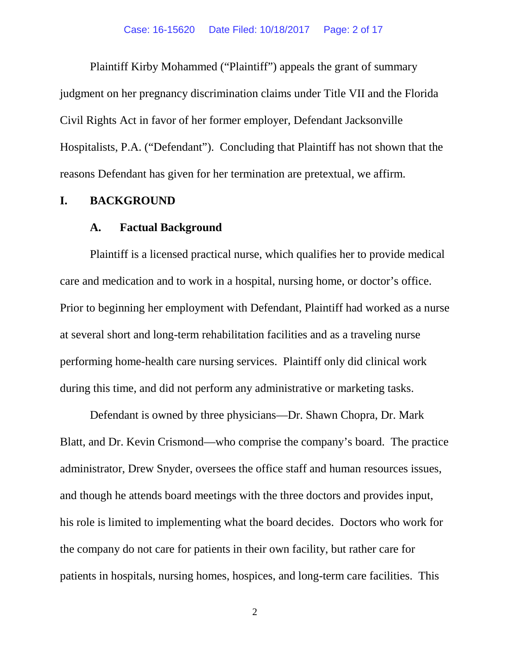Plaintiff Kirby Mohammed ("Plaintiff") appeals the grant of summary judgment on her pregnancy discrimination claims under Title VII and the Florida Civil Rights Act in favor of her former employer, Defendant Jacksonville Hospitalists, P.A. ("Defendant"). Concluding that Plaintiff has not shown that the reasons Defendant has given for her termination are pretextual, we affirm.

### **I. BACKGROUND**

### **A. Factual Background**

Plaintiff is a licensed practical nurse, which qualifies her to provide medical care and medication and to work in a hospital, nursing home, or doctor's office. Prior to beginning her employment with Defendant, Plaintiff had worked as a nurse at several short and long-term rehabilitation facilities and as a traveling nurse performing home-health care nursing services. Plaintiff only did clinical work during this time, and did not perform any administrative or marketing tasks.

Defendant is owned by three physicians—Dr. Shawn Chopra, Dr. Mark Blatt, and Dr. Kevin Crismond—who comprise the company's board. The practice administrator, Drew Snyder, oversees the office staff and human resources issues, and though he attends board meetings with the three doctors and provides input, his role is limited to implementing what the board decides. Doctors who work for the company do not care for patients in their own facility, but rather care for patients in hospitals, nursing homes, hospices, and long-term care facilities. This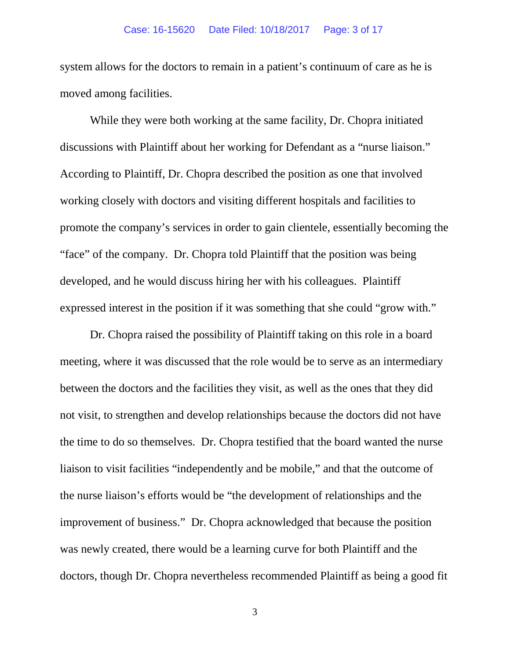system allows for the doctors to remain in a patient's continuum of care as he is moved among facilities.

While they were both working at the same facility, Dr. Chopra initiated discussions with Plaintiff about her working for Defendant as a "nurse liaison." According to Plaintiff, Dr. Chopra described the position as one that involved working closely with doctors and visiting different hospitals and facilities to promote the company's services in order to gain clientele, essentially becoming the "face" of the company. Dr. Chopra told Plaintiff that the position was being developed, and he would discuss hiring her with his colleagues. Plaintiff expressed interest in the position if it was something that she could "grow with."

Dr. Chopra raised the possibility of Plaintiff taking on this role in a board meeting, where it was discussed that the role would be to serve as an intermediary between the doctors and the facilities they visit, as well as the ones that they did not visit, to strengthen and develop relationships because the doctors did not have the time to do so themselves. Dr. Chopra testified that the board wanted the nurse liaison to visit facilities "independently and be mobile," and that the outcome of the nurse liaison's efforts would be "the development of relationships and the improvement of business." Dr. Chopra acknowledged that because the position was newly created, there would be a learning curve for both Plaintiff and the doctors, though Dr. Chopra nevertheless recommended Plaintiff as being a good fit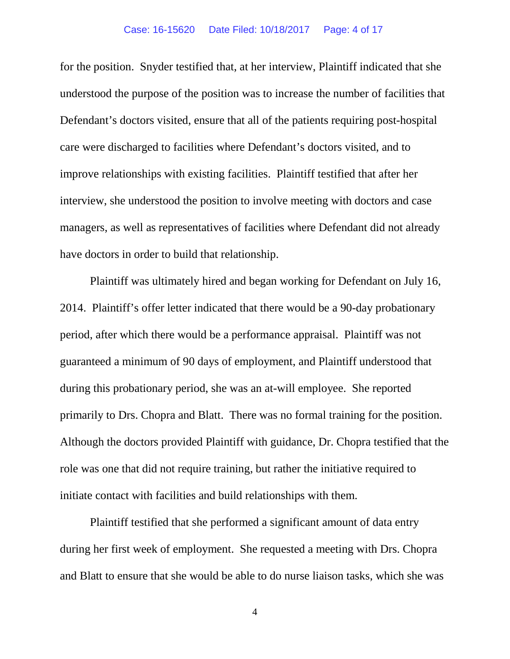for the position. Snyder testified that, at her interview, Plaintiff indicated that she understood the purpose of the position was to increase the number of facilities that Defendant's doctors visited, ensure that all of the patients requiring post-hospital care were discharged to facilities where Defendant's doctors visited, and to improve relationships with existing facilities. Plaintiff testified that after her interview, she understood the position to involve meeting with doctors and case managers, as well as representatives of facilities where Defendant did not already have doctors in order to build that relationship.

Plaintiff was ultimately hired and began working for Defendant on July 16, 2014. Plaintiff's offer letter indicated that there would be a 90-day probationary period, after which there would be a performance appraisal. Plaintiff was not guaranteed a minimum of 90 days of employment, and Plaintiff understood that during this probationary period, she was an at-will employee. She reported primarily to Drs. Chopra and Blatt. There was no formal training for the position. Although the doctors provided Plaintiff with guidance, Dr. Chopra testified that the role was one that did not require training, but rather the initiative required to initiate contact with facilities and build relationships with them.

Plaintiff testified that she performed a significant amount of data entry during her first week of employment. She requested a meeting with Drs. Chopra and Blatt to ensure that she would be able to do nurse liaison tasks, which she was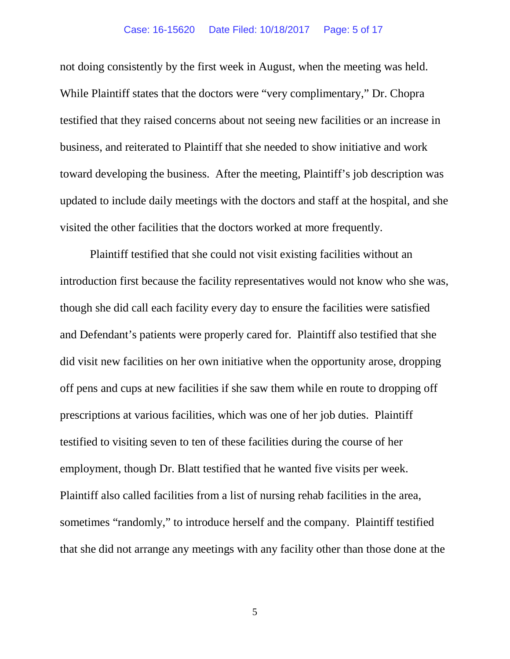not doing consistently by the first week in August, when the meeting was held. While Plaintiff states that the doctors were "very complimentary," Dr. Chopra testified that they raised concerns about not seeing new facilities or an increase in business, and reiterated to Plaintiff that she needed to show initiative and work toward developing the business. After the meeting, Plaintiff's job description was updated to include daily meetings with the doctors and staff at the hospital, and she visited the other facilities that the doctors worked at more frequently.

Plaintiff testified that she could not visit existing facilities without an introduction first because the facility representatives would not know who she was, though she did call each facility every day to ensure the facilities were satisfied and Defendant's patients were properly cared for. Plaintiff also testified that she did visit new facilities on her own initiative when the opportunity arose, dropping off pens and cups at new facilities if she saw them while en route to dropping off prescriptions at various facilities, which was one of her job duties. Plaintiff testified to visiting seven to ten of these facilities during the course of her employment, though Dr. Blatt testified that he wanted five visits per week. Plaintiff also called facilities from a list of nursing rehab facilities in the area, sometimes "randomly," to introduce herself and the company. Plaintiff testified that she did not arrange any meetings with any facility other than those done at the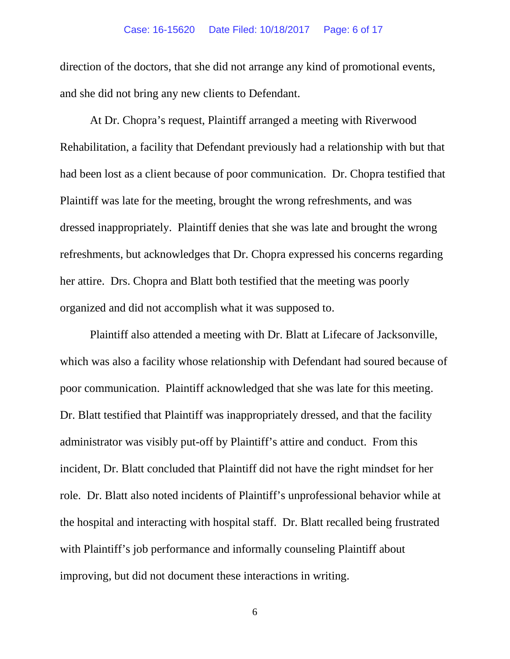### Case: 16-15620 Date Filed: 10/18/2017 Page: 6 of 17

direction of the doctors, that she did not arrange any kind of promotional events, and she did not bring any new clients to Defendant.

At Dr. Chopra's request, Plaintiff arranged a meeting with Riverwood Rehabilitation, a facility that Defendant previously had a relationship with but that had been lost as a client because of poor communication. Dr. Chopra testified that Plaintiff was late for the meeting, brought the wrong refreshments, and was dressed inappropriately. Plaintiff denies that she was late and brought the wrong refreshments, but acknowledges that Dr. Chopra expressed his concerns regarding her attire. Drs. Chopra and Blatt both testified that the meeting was poorly organized and did not accomplish what it was supposed to.

Plaintiff also attended a meeting with Dr. Blatt at Lifecare of Jacksonville, which was also a facility whose relationship with Defendant had soured because of poor communication. Plaintiff acknowledged that she was late for this meeting. Dr. Blatt testified that Plaintiff was inappropriately dressed, and that the facility administrator was visibly put-off by Plaintiff's attire and conduct. From this incident, Dr. Blatt concluded that Plaintiff did not have the right mindset for her role. Dr. Blatt also noted incidents of Plaintiff's unprofessional behavior while at the hospital and interacting with hospital staff. Dr. Blatt recalled being frustrated with Plaintiff's job performance and informally counseling Plaintiff about improving, but did not document these interactions in writing.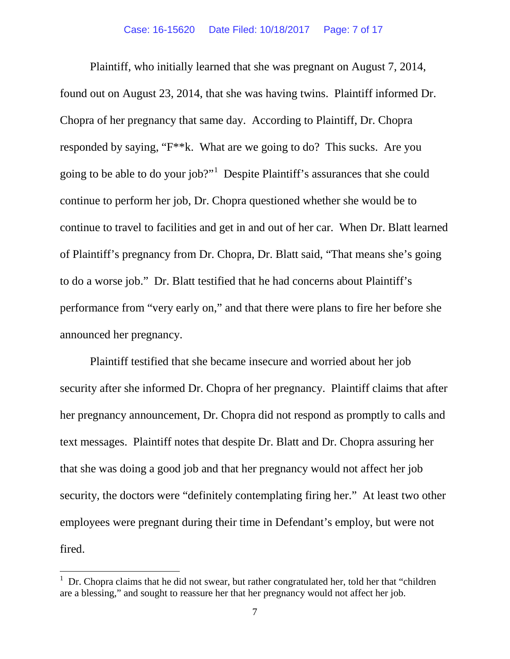Plaintiff, who initially learned that she was pregnant on August 7, 2014, found out on August 23, 2014, that she was having twins. Plaintiff informed Dr. Chopra of her pregnancy that same day. According to Plaintiff, Dr. Chopra responded by saying, "F\*\*k. What are we going to do? This sucks. Are you going to be able to do your job?"<sup>[1](#page-6-0)</sup> Despite Plaintiff's assurances that she could continue to perform her job, Dr. Chopra questioned whether she would be to continue to travel to facilities and get in and out of her car. When Dr. Blatt learned of Plaintiff's pregnancy from Dr. Chopra, Dr. Blatt said, "That means she's going to do a worse job." Dr. Blatt testified that he had concerns about Plaintiff's performance from "very early on," and that there were plans to fire her before she announced her pregnancy.

Plaintiff testified that she became insecure and worried about her job security after she informed Dr. Chopra of her pregnancy. Plaintiff claims that after her pregnancy announcement, Dr. Chopra did not respond as promptly to calls and text messages. Plaintiff notes that despite Dr. Blatt and Dr. Chopra assuring her that she was doing a good job and that her pregnancy would not affect her job security, the doctors were "definitely contemplating firing her." At least two other employees were pregnant during their time in Defendant's employ, but were not fired.

<span id="page-6-0"></span><sup>|&</sup>lt;br>|<br>| Dr. Chopra claims that he did not swear, but rather congratulated her, told her that "children are a blessing," and sought to reassure her that her pregnancy would not affect her job.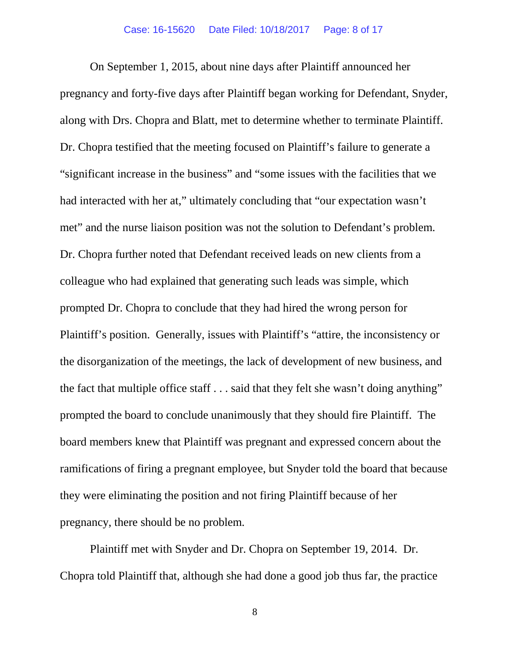On September 1, 2015, about nine days after Plaintiff announced her pregnancy and forty-five days after Plaintiff began working for Defendant, Snyder, along with Drs. Chopra and Blatt, met to determine whether to terminate Plaintiff. Dr. Chopra testified that the meeting focused on Plaintiff's failure to generate a "significant increase in the business" and "some issues with the facilities that we had interacted with her at," ultimately concluding that "our expectation wasn't met" and the nurse liaison position was not the solution to Defendant's problem. Dr. Chopra further noted that Defendant received leads on new clients from a colleague who had explained that generating such leads was simple, which prompted Dr. Chopra to conclude that they had hired the wrong person for Plaintiff's position. Generally, issues with Plaintiff's "attire, the inconsistency or the disorganization of the meetings, the lack of development of new business, and the fact that multiple office staff . . . said that they felt she wasn't doing anything" prompted the board to conclude unanimously that they should fire Plaintiff. The board members knew that Plaintiff was pregnant and expressed concern about the ramifications of firing a pregnant employee, but Snyder told the board that because they were eliminating the position and not firing Plaintiff because of her pregnancy, there should be no problem.

Plaintiff met with Snyder and Dr. Chopra on September 19, 2014. Dr. Chopra told Plaintiff that, although she had done a good job thus far, the practice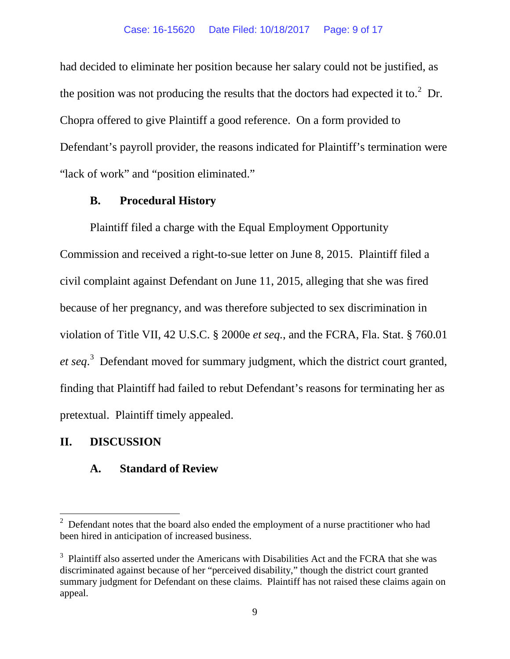had decided to eliminate her position because her salary could not be justified, as the position was not producing the results that the doctors had expected it to. $2$  Dr. Chopra offered to give Plaintiff a good reference. On a form provided to Defendant's payroll provider, the reasons indicated for Plaintiff's termination were "lack of work" and "position eliminated."

## **B. Procedural History**

Plaintiff filed a charge with the Equal Employment Opportunity Commission and received a right-to-sue letter on June 8, 2015. Plaintiff filed a civil complaint against Defendant on June 11, 2015, alleging that she was fired because of her pregnancy, and was therefore subjected to sex discrimination in violation of Title VII, 42 U.S.C. § 2000e *et seq.*, and the FCRA, Fla. Stat. § 760.01 *et seq*. [3](#page-8-1) Defendant moved for summary judgment, which the district court granted, finding that Plaintiff had failed to rebut Defendant's reasons for terminating her as pretextual. Plaintiff timely appealed.

# **II. DISCUSSION**

# **A. Standard of Review**

<span id="page-8-0"></span><sup>&</sup>lt;sup>2</sup> Defendant notes that the board also ended the employment of a nurse practitioner who had been hired in anticipation of increased business.

<span id="page-8-1"></span> $3$  Plaintiff also asserted under the Americans with Disabilities Act and the FCRA that she was discriminated against because of her "perceived disability," though the district court granted summary judgment for Defendant on these claims. Plaintiff has not raised these claims again on appeal.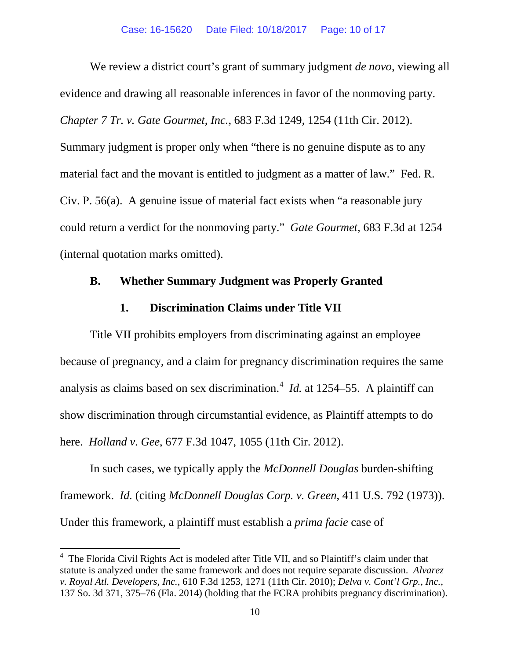We review a district court's grant of summary judgment *de novo*, viewing all evidence and drawing all reasonable inferences in favor of the nonmoving party. *Chapter 7 Tr. v. Gate Gourmet, Inc.*, 683 F.3d 1249, 1254 (11th Cir. 2012). Summary judgment is proper only when "there is no genuine dispute as to any material fact and the movant is entitled to judgment as a matter of law." Fed. R. Civ. P. 56(a). A genuine issue of material fact exists when "a reasonable jury could return a verdict for the nonmoving party." *Gate Gourmet*, 683 F.3d at 1254 (internal quotation marks omitted).

## **B. Whether Summary Judgment was Properly Granted**

## **1. Discrimination Claims under Title VII**

Title VII prohibits employers from discriminating against an employee because of pregnancy, and a claim for pregnancy discrimination requires the same analysis as claims based on sex discrimination.<sup>[4](#page-9-0)</sup> *Id.* at 1254–55. A plaintiff can show discrimination through circumstantial evidence, as Plaintiff attempts to do here. *Holland v. Gee*, 677 F.3d 1047, 1055 (11th Cir. 2012).

In such cases, we typically apply the *McDonnell Douglas* burden-shifting framework. *Id.* (citing *McDonnell Douglas Corp. v. Green*, 411 U.S. 792 (1973)). Under this framework, a plaintiff must establish a *prima facie* case of

<span id="page-9-0"></span> <sup>4</sup> The Florida Civil Rights Act is modeled after Title VII, and so Plaintiff's claim under that statute is analyzed under the same framework and does not require separate discussion. *Alvarez v. Royal Atl. Developers, Inc.*, 610 F.3d 1253, 1271 (11th Cir. 2010); *Delva v. Cont'l Grp., Inc.*, 137 So. 3d 371, 375–76 (Fla. 2014) (holding that the FCRA prohibits pregnancy discrimination).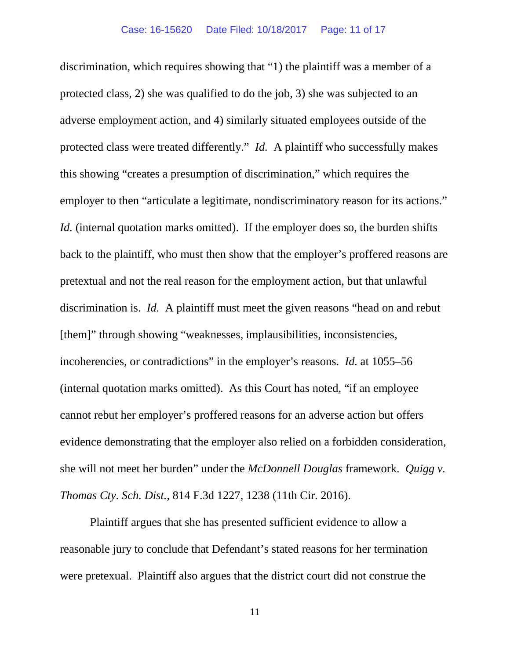discrimination, which requires showing that "1) the plaintiff was a member of a protected class, 2) she was qualified to do the job, 3) she was subjected to an adverse employment action, and 4) similarly situated employees outside of the protected class were treated differently." *Id.* A plaintiff who successfully makes this showing "creates a presumption of discrimination," which requires the employer to then "articulate a legitimate, nondiscriminatory reason for its actions." *Id.* (internal quotation marks omitted). If the employer does so, the burden shifts back to the plaintiff, who must then show that the employer's proffered reasons are pretextual and not the real reason for the employment action, but that unlawful discrimination is. *Id.* A plaintiff must meet the given reasons "head on and rebut [them]" through showing "weaknesses, implausibilities, inconsistencies, incoherencies, or contradictions" in the employer's reasons. *Id.* at 1055–56 (internal quotation marks omitted). As this Court has noted, "if an employee cannot rebut her employer's proffered reasons for an adverse action but offers evidence demonstrating that the employer also relied on a forbidden consideration, she will not meet her burden" under the *McDonnell Douglas* framework. *Quigg v. Thomas Cty. Sch. Dist.*, 814 F.3d 1227, 1238 (11th Cir. 2016).

Plaintiff argues that she has presented sufficient evidence to allow a reasonable jury to conclude that Defendant's stated reasons for her termination were pretexual. Plaintiff also argues that the district court did not construe the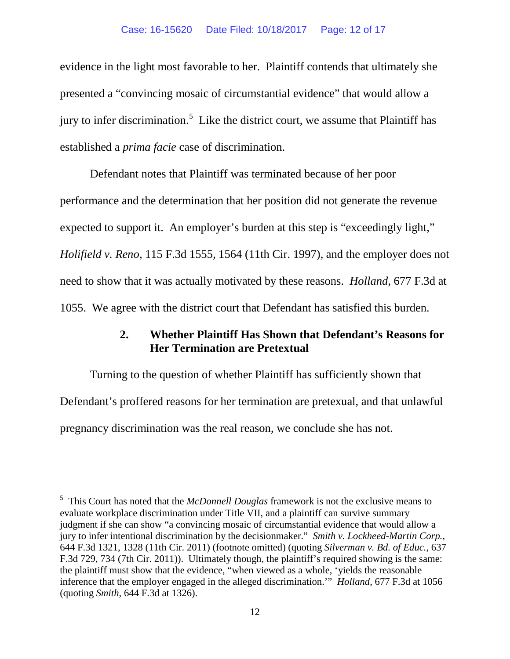evidence in the light most favorable to her. Plaintiff contends that ultimately she presented a "convincing mosaic of circumstantial evidence" that would allow a jury to infer discrimination.<sup>[5](#page-11-0)</sup> Like the district court, we assume that Plaintiff has established a *prima facie* case of discrimination.

Defendant notes that Plaintiff was terminated because of her poor performance and the determination that her position did not generate the revenue expected to support it. An employer's burden at this step is "exceedingly light," *Holifield v. Reno*, 115 F.3d 1555, 1564 (11th Cir. 1997), and the employer does not need to show that it was actually motivated by these reasons. *Holland*, 677 F.3d at 1055. We agree with the district court that Defendant has satisfied this burden.

## **2. Whether Plaintiff Has Shown that Defendant's Reasons for Her Termination are Pretextual**

Turning to the question of whether Plaintiff has sufficiently shown that Defendant's proffered reasons for her termination are pretexual, and that unlawful pregnancy discrimination was the real reason, we conclude she has not.

<span id="page-11-0"></span> <sup>5</sup> This Court has noted that the *McDonnell Douglas* framework is not the exclusive means to evaluate workplace discrimination under Title VII, and a plaintiff can survive summary judgment if she can show "a convincing mosaic of circumstantial evidence that would allow a jury to infer intentional discrimination by the decisionmaker." *Smith v. Lockheed-Martin Corp.*, 644 F.3d 1321, 1328 (11th Cir. 2011) (footnote omitted) (quoting *Silverman v. Bd. of Educ.*, 637 F.3d 729, 734 (7th Cir. 2011)). Ultimately though, the plaintiff's required showing is the same: the plaintiff must show that the evidence, "when viewed as a whole, 'yields the reasonable inference that the employer engaged in the alleged discrimination.'" *Holland*, 677 F.3d at 1056 (quoting *Smith*, 644 F.3d at 1326).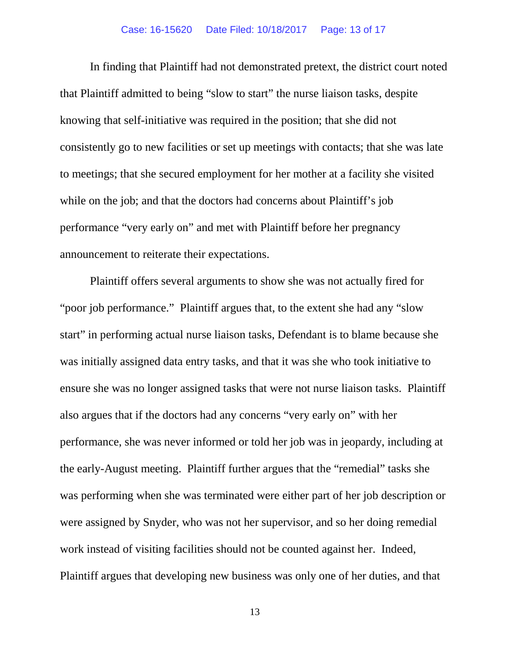In finding that Plaintiff had not demonstrated pretext, the district court noted that Plaintiff admitted to being "slow to start" the nurse liaison tasks, despite knowing that self-initiative was required in the position; that she did not consistently go to new facilities or set up meetings with contacts; that she was late to meetings; that she secured employment for her mother at a facility she visited while on the job; and that the doctors had concerns about Plaintiff's job performance "very early on" and met with Plaintiff before her pregnancy announcement to reiterate their expectations.

Plaintiff offers several arguments to show she was not actually fired for "poor job performance." Plaintiff argues that, to the extent she had any "slow start" in performing actual nurse liaison tasks, Defendant is to blame because she was initially assigned data entry tasks, and that it was she who took initiative to ensure she was no longer assigned tasks that were not nurse liaison tasks. Plaintiff also argues that if the doctors had any concerns "very early on" with her performance, she was never informed or told her job was in jeopardy, including at the early-August meeting. Plaintiff further argues that the "remedial" tasks she was performing when she was terminated were either part of her job description or were assigned by Snyder, who was not her supervisor, and so her doing remedial work instead of visiting facilities should not be counted against her. Indeed, Plaintiff argues that developing new business was only one of her duties, and that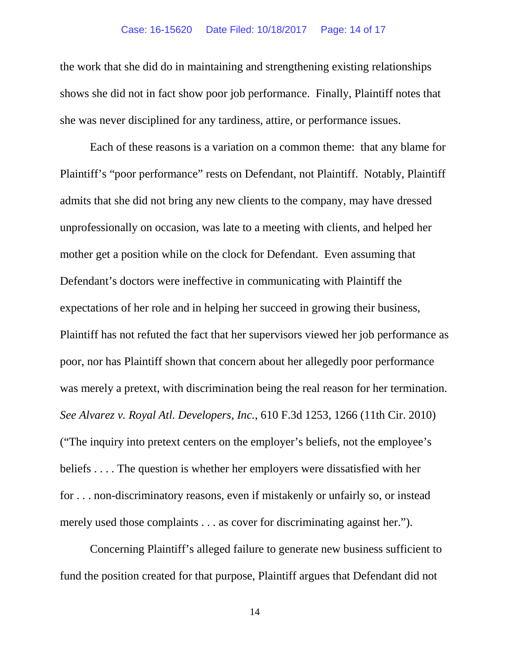the work that she did do in maintaining and strengthening existing relationships shows she did not in fact show poor job performance. Finally, Plaintiff notes that she was never disciplined for any tardiness, attire, or performance issues.

Each of these reasons is a variation on a common theme: that any blame for Plaintiff's "poor performance" rests on Defendant, not Plaintiff. Notably, Plaintiff admits that she did not bring any new clients to the company, may have dressed unprofessionally on occasion, was late to a meeting with clients, and helped her mother get a position while on the clock for Defendant. Even assuming that Defendant's doctors were ineffective in communicating with Plaintiff the expectations of her role and in helping her succeed in growing their business, Plaintiff has not refuted the fact that her supervisors viewed her job performance as poor, nor has Plaintiff shown that concern about her allegedly poor performance was merely a pretext, with discrimination being the real reason for her termination. *See Alvarez v. Royal Atl. Developers, Inc.*, 610 F.3d 1253, 1266 (11th Cir. 2010) ("The inquiry into pretext centers on the employer's beliefs, not the employee's beliefs . . . . The question is whether her employers were dissatisfied with her for . . . non-discriminatory reasons, even if mistakenly or unfairly so, or instead merely used those complaints . . . as cover for discriminating against her.").

Concerning Plaintiff's alleged failure to generate new business sufficient to fund the position created for that purpose, Plaintiff argues that Defendant did not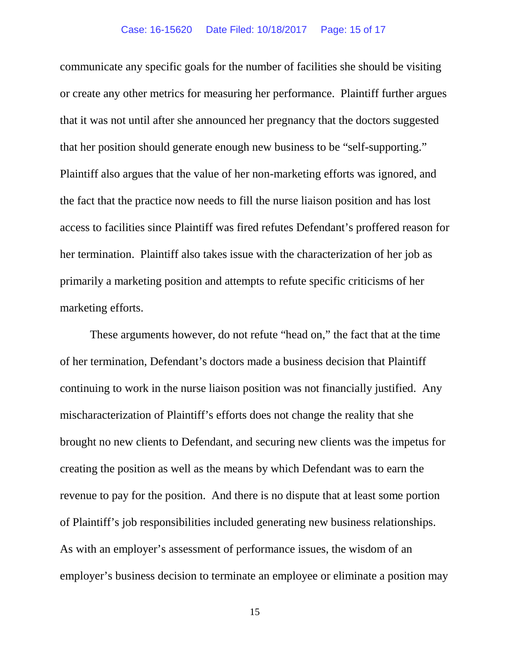communicate any specific goals for the number of facilities she should be visiting or create any other metrics for measuring her performance. Plaintiff further argues that it was not until after she announced her pregnancy that the doctors suggested that her position should generate enough new business to be "self-supporting." Plaintiff also argues that the value of her non-marketing efforts was ignored, and the fact that the practice now needs to fill the nurse liaison position and has lost access to facilities since Plaintiff was fired refutes Defendant's proffered reason for her termination.Plaintiff also takes issue with the characterization of her job as primarily a marketing position and attempts to refute specific criticisms of her marketing efforts.

These arguments however, do not refute "head on," the fact that at the time of her termination, Defendant's doctors made a business decision that Plaintiff continuing to work in the nurse liaison position was not financially justified. Any mischaracterization of Plaintiff's efforts does not change the reality that she brought no new clients to Defendant, and securing new clients was the impetus for creating the position as well as the means by which Defendant was to earn the revenue to pay for the position. And there is no dispute that at least some portion of Plaintiff's job responsibilities included generating new business relationships. As with an employer's assessment of performance issues, the wisdom of an employer's business decision to terminate an employee or eliminate a position may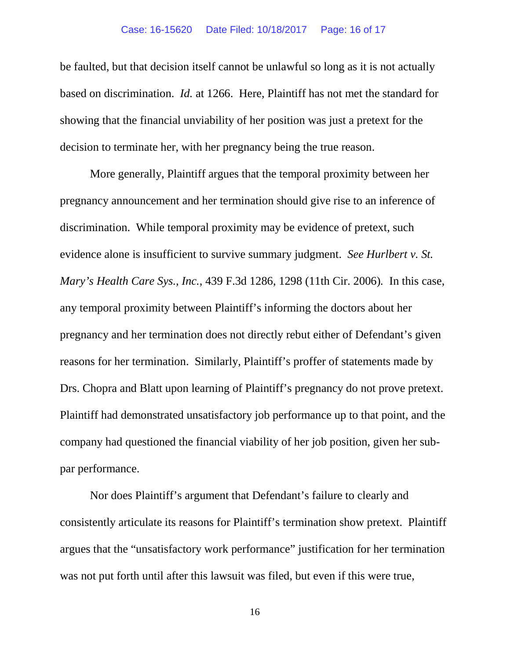be faulted, but that decision itself cannot be unlawful so long as it is not actually based on discrimination. *Id.* at 1266. Here, Plaintiff has not met the standard for showing that the financial unviability of her position was just a pretext for the decision to terminate her, with her pregnancy being the true reason.

More generally, Plaintiff argues that the temporal proximity between her pregnancy announcement and her termination should give rise to an inference of discrimination. While temporal proximity may be evidence of pretext, such evidence alone is insufficient to survive summary judgment. *See Hurlbert v. St. Mary's Health Care Sys., Inc.*, 439 F.3d 1286, 1298 (11th Cir. 2006)*.* In this case, any temporal proximity between Plaintiff's informing the doctors about her pregnancy and her termination does not directly rebut either of Defendant's given reasons for her termination. Similarly, Plaintiff's proffer of statements made by Drs. Chopra and Blatt upon learning of Plaintiff's pregnancy do not prove pretext. Plaintiff had demonstrated unsatisfactory job performance up to that point, and the company had questioned the financial viability of her job position, given her subpar performance.

Nor does Plaintiff's argument that Defendant's failure to clearly and consistently articulate its reasons for Plaintiff's termination show pretext. Plaintiff argues that the "unsatisfactory work performance" justification for her termination was not put forth until after this lawsuit was filed, but even if this were true,